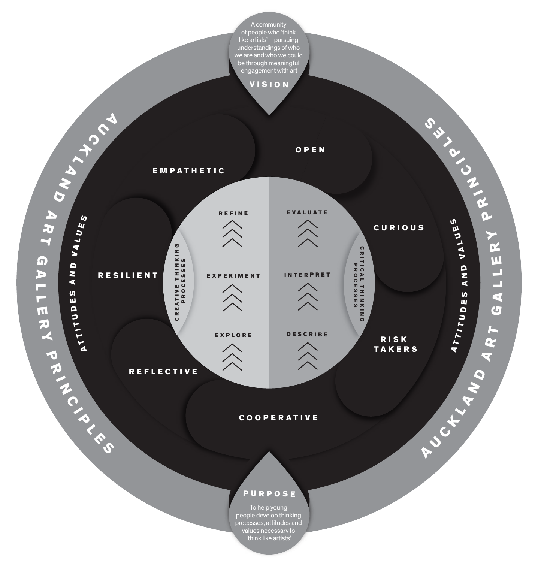### COOPERATIVE



To help young people develop thinking processes, attitudes and values necessary to 'think like artists'.

### PURPOSE